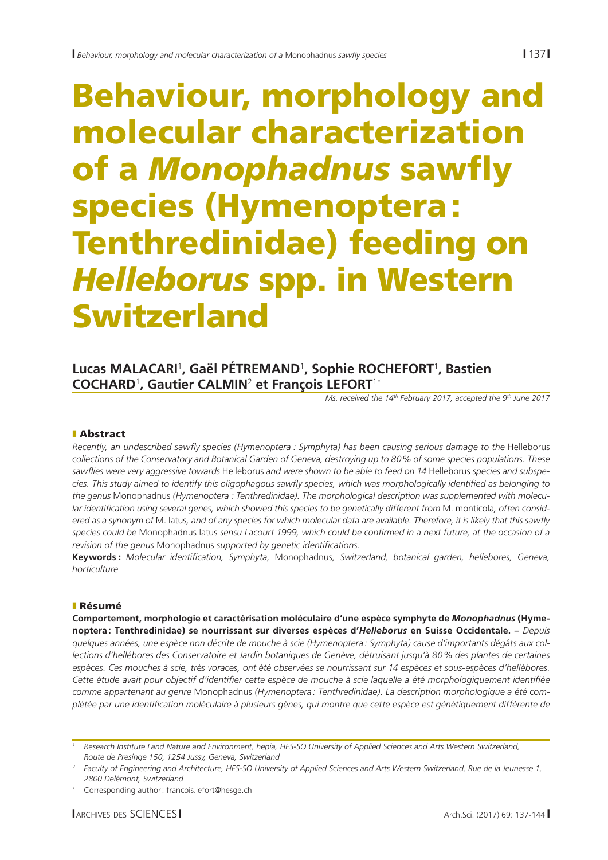# Behaviour, morphology and molecular characterization of a *Monophadnus* sawfly species (Hymenoptera: Tenthredinidae) feeding on *Helleborus* spp. in Western Switzerland

# **Lucas MALACARI**<sup>1</sup> **, Gaël PÉTREMAND**<sup>1</sup> **, Sophie ROCHEFORT**<sup>1</sup> **, Bastien COCHARD**<sup>1</sup> **, Gautier CALMIN**<sup>2</sup>  **et François LEFORT**1\*

*Ms. received the 14th February 2017, accepted the 9th June 2017*

## **Abstract**

*Recently, an undescribed sawfly species (Hymenoptera : Symphyta) has been causing serious damage to the* Helleborus *collections of the Conservatory and Botanical Garden of Geneva, destroying up to 80% of some species populations. These sawflies were very aggressive towards* Helleborus *and were shown to be able to feed on 14* Helleborus *species and subspecies. This study aimed to identify this oligophagous sawfly species, which was morphologically identified as belonging to the genus* Monophadnus *(Hymenoptera : Tenthredinidae). The morphological description was supplemented with molecular identification using several genes, which showed this species to be genetically different from* M. monticola*, often considered as a synonym of* M. latus*, and of any species for which molecular data are available. Therefore, it is likely that this sawfly species could be* Monophadnus latus *sensu Lacourt 1999, which could be confirmed in a next future, at the occasion of a revision of the genus* Monophadnus *supported by genetic identifications*.

**Keywords :** *Molecular identification, Symphyta,* Monophadnus*, Switzerland, botanical garden, hellebores, Geneva, horticulture*

## **Résumé**

**Comportement, morphologie et caractérisation moléculaire d'une espèce symphyte de** *Monophadnus* **(Hymenoptera: Tenthredinidae) se nourrissant sur diverses espèces d'***Helleborus* **en Suisse Occidentale. –** *Depuis quelques années, une espèce non décrite de mouche à scie (Hymenoptera: Symphyta) cause d'importants dégâts aux collections d'hellébores des Conservatoire et Jardin botaniques de Genève, détruisant jusqu'à 80% des plantes de certaines espèces. Ces mouches à scie, très voraces, ont été observées se nourrissant sur 14 espèces et sous-espèces d'hellébores. Cette étude avait pour objectif d'identifier cette espèce de mouche à scie laquelle a été morphologiquement identifiée comme appartenant au genre* Monophadnus *(Hymenoptera : Tenthredinidae). La description morphologique a été complétée par une identification moléculaire à plusieurs gènes, qui montre que cette espèce est génétiquement différente de* 

*<sup>1</sup> Research Institute Land Nature and Environment, hepia, HES-SO University of Applied Sciences and Arts Western Switzerland, Route de Presinge 150, 1254 Jussy, Geneva, Switzerland*

*<sup>2</sup> Faculty of Engineering and Architecture, HES-SO University of Applied Sciences and Arts Western Switzerland, Rue de la Jeunesse 1, 2800 Delémont, Switzerland*

Corresponding author: francois.lefort@hesge.ch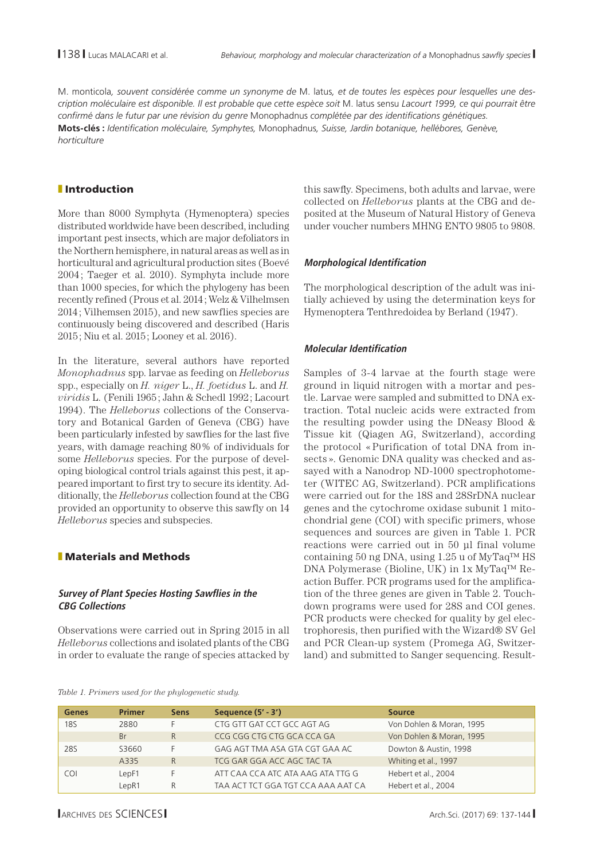M. monticola*, souvent considérée comme un synonyme de* M. latus*, et de toutes les espèces pour lesquelles une description moléculaire est disponible. Il est probable que cette espèce soit* M. latus sensu *Lacourt 1999, ce qui pourrait être confirmé dans le futur par une révision du genre* Monophadnus *complétée par des identifications génétiques.*  **Mots-clés :** *Identification moléculaire, Symphytes,* Monophadnus*, Suisse, Jardin botanique, hellébores, Genève, horticulture*

## **I** Introduction

More than 8000 Symphyta (Hymenoptera) species distributed worldwide have been described, including important pest insects, which are major defoliators in the Northern hemisphere, in natural areas as well as in horticultural and agricultural production sites (Boevé 2004; Taeger et al. 2010). Symphyta include more than 1000 species, for which the phylogeny has been recently refined (Prous et al. 2014; Welz & Vilhelmsen 2014; Vilhemsen 2015), and new sawflies species are continuously being discovered and described (Haris 2015; Niu et al. 2015; Looney et al. 2016).

In the literature, several authors have reported *Monophadnus* spp. larvae as feeding on *Helleborus*  spp., especially on *H. niger* L., *H. foetidus* L. and *H. viridis* L. (Fenili 1965; Jahn & Schedl 1992; Lacourt 1994). The *Helleborus* collections of the Conservatory and Botanical Garden of Geneva (CBG) have been particularly infested by sawflies for the last five years, with damage reaching 80% of individuals for some *Helleborus* species. For the purpose of developing biological control trials against this pest, it appeared important to first try to secure its identity. Additionally, the *Helleborus* collection found at the CBG provided an opportunity to observe this sawfly on 14 *Helleborus* species and subspecies.

## **Naterials and Methods**

### **Survey of Plant Species Hosting Sawflies in the CBG Collections**

Observations were carried out in Spring 2015 in all *Helleborus* collections and isolated plants of the CBG in order to evaluate the range of species attacked by this sawfly. Specimens, both adults and larvae, were collected on *Helleborus* plants at the CBG and deposited at the Museum of Natural History of Geneva under voucher numbers MHNG ENTO 9805 to 9808.

## **Morphological Identification**

The morphological description of the adult was initially achieved by using the determination keys for Hymenoptera Tenthredoidea by Berland (1947).

## **Molecular Identification**

Samples of 3-4 larvae at the fourth stage were ground in liquid nitrogen with a mortar and pestle. Larvae were sampled and submitted to DNA extraction. Total nucleic acids were extracted from the resulting powder using the DNeasy Blood & Tissue kit (Qiagen AG, Switzerland), according the protocol « Purification of total DNA from insects ». Genomic DNA quality was checked and assayed with a Nanodrop ND-1000 spectrophotometer (WITEC AG, Switzerland). PCR amplifications were carried out for the 18S and 28SrDNA nuclear genes and the cytochrome oxidase subunit 1 mitochondrial gene (COI) with specific primers, whose sequences and sources are given in Table 1. PCR reactions were carried out in 50 μl final volume containing 50 ng DNA, using 1.25 u of MyTaq™ HS DNA Polymerase (Bioline, UK) in 1x MyTaq™ Reaction Buffer. PCR programs used for the amplification of the three genes are given in Table 2. Touchdown programs were used for 28S and COI genes. PCR products were checked for quality by gel electrophoresis, then purified with the Wizard® SV Gel and PCR Clean-up system (Promega AG, Switzerland) and submitted to Sanger sequencing. Result-

#### *Table 1. Primers used for the phylogenetic study.*

| <b>Genes</b> | <b>Primer</b> | <b>Sens</b> | Sequence (5' - 3')                 | <b>Source</b>            |
|--------------|---------------|-------------|------------------------------------|--------------------------|
| 18S          | 2880          |             | CTG GTT GAT CCT GCC AGT AG         | Von Dohlen & Moran, 1995 |
|              | Br            | R           | CCG CGG CTG CTG GCA CCA GA         | Von Dohlen & Moran, 1995 |
| 28S          | S3660         |             | GAG AGT TMA ASA GTA CGT GAA AC     | Dowton & Austin, 1998    |
|              | A335          | R           | TCG GAR GGA ACC AGC TAC TA         | Whiting et al., 1997     |
| COL          | LepF1         |             | ATT CAA CCA ATC ATA AAG ATA TTG G  | Hebert et al., 2004      |
|              | LepR1         | R           | TAA ACT TCT GGA TGT CCA AAA AAT CA | Hebert et al., 2004      |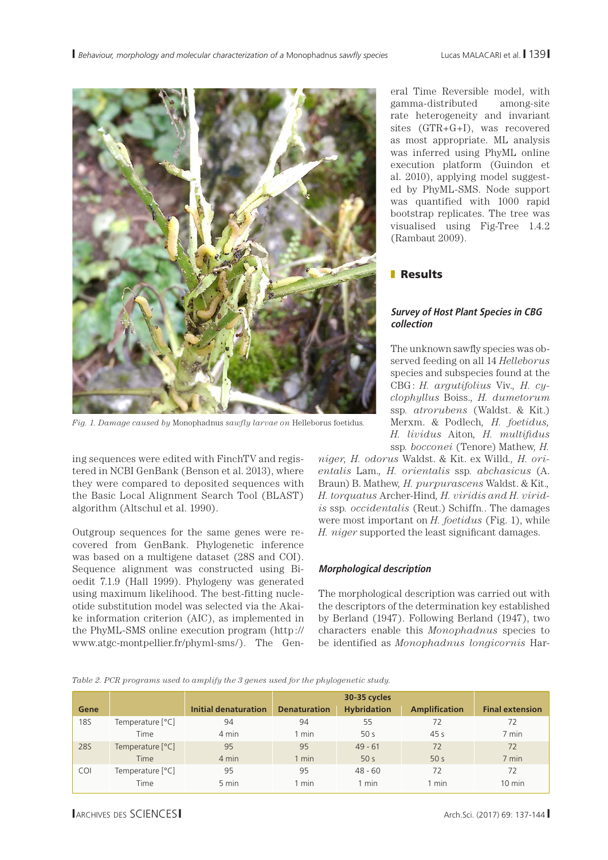

*Fig. 1. Damage caused by* Monophadnus *sawfly larvae on* Helleborus foetidus*.*

ing sequences were edited with FinchTV and registered in NCBI GenBank (Benson et al. 2013), where they were compared to deposited sequences with the Basic Local Alignment Search Tool (BLAST) algorithm (Altschul et al. 1990).

Outgroup sequences for the same genes were recovered from GenBank. Phylogenetic inference was based on a multigene dataset (28S and COI). Sequence alignment was constructed using Bioedit 7.1.9 (Hall 1999). Phylogeny was generated using maximum likelihood. The best-fitting nucleotide substitution model was selected via the Akaike information criterion (AIC), as implemented in the PhyML-SMS online execution program (http:// www.atgc-montpellier.fr/phyml-sms/). The Gen-

eral Time Reversible model, with gamma-distributed among-site rate heterogeneity and invariant sites (GTR+G+I), was recovered as most appropriate. ML analysis was inferred using PhyML online execution platform (Guindon et al. 2010), applying model suggested by PhyML-SMS. Node support was quantified with 1000 rapid bootstrap replicates. The tree was visualised using Fig-Tree 1.4.2 (Rambaut 2009).

## **Results**

## **Survey of Host Plant Species in CBG collection**

The unknown sawfly species was observed feeding on all 14 *Helleborus*  species and subspecies found at the CBG: *H. argutifolius* Viv.*, H. cyclophyllus* Boiss.*, H. dumetorum*  ssp*. atrorubens* (Waldst. & Kit.) Merxm. & Podlech*, H. foetidus, H. lividus* Aiton*, H. multifidus*  ssp*. bocconei* (Tenore) Mathew*, H.* 

*niger, H. odorus* Waldst. & Kit. ex Willd*., H. orientalis* Lam.*, H. orientalis* ssp*. abchasicus* (A. Braun) B. Mathew*, H. purpurascens* Waldst. & Kit.*, H. torquatus* Archer-Hind*, H. viridis and H. viridis* ssp*. occidentalis* (Reut.) Schiffn*.*. The damages were most important on *H. foetidus* (Fig. 1), while *H. niger* supported the least significant damages.

## **Morphological description**

The morphological description was carried out with the descriptors of the determination key established by Berland (1947). Following Berland (1947), two characters enable this *Monophadnus* species to be identified as *Monophadnus longicornis* Har-

|  |  | Table 2. PCR programs used to amplify the 3 genes used for the phylogenetic study. |
|--|--|------------------------------------------------------------------------------------|
|  |  |                                                                                    |

| Gene       |                  | Initial denaturation | <b>Denaturation</b> | <b>Hybridation</b> | <b>Amplification</b> | <b>Final extension</b> |
|------------|------------------|----------------------|---------------------|--------------------|----------------------|------------------------|
| <b>18S</b> | Temperature [°C] | 94                   | 94                  | 55                 | 72                   | 72                     |
|            | Time             | 4 min                | 1 min               | 50 <sub>s</sub>    | 45s                  | 7 min                  |
| <b>28S</b> | Temperature [°C] | 95                   | 95                  | $49 - 61$          | 72                   | 72                     |
|            | <b>Time</b>      | 4 min                | $1$ min             | 50 <sub>s</sub>    | 50 <sub>s</sub>      | 7 min                  |
| <b>COI</b> | Temperature [°C] | 95                   | 95                  | $48 - 60$          | 72                   | 72                     |
|            | Time             | 5 min                | 1 min               | 1 min              | min                  | $10 \text{ min}$       |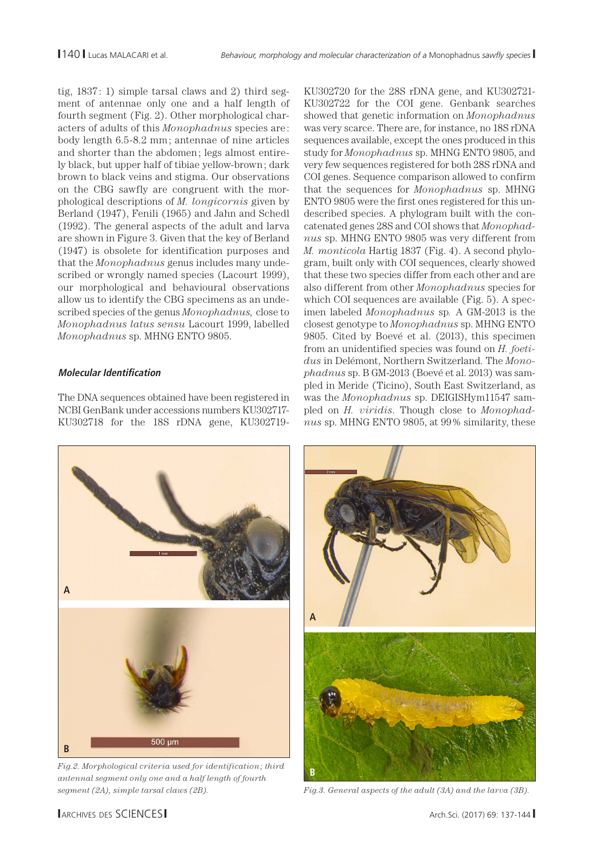tig,  $1837:1$ ) simple tarsal claws and 2) third segment of antennae only one and a half length of fourth segment (Fig. 2). Other morphological characters of adults of this *Monophadnus* species are : body length 6.5-8.2 mm ; antennae of nine articles and shorter than the abdomen; legs almost entirely black, but upper half of tibiae yellow-brown; dark brown to black veins and stigma. Our observations on the CBG sawfly are congruent with the morphological descriptions of *M. longicornis* given by Berland (1947), Fenili (1965) and Jahn and Schedl (1992). The general aspects of the adult and larva are shown in Figure 3. Given that the key of Berland (1947) is obsolete for identification purposes and that the *Monophadnus* genus includes many undescribed or wrongly named species (Lacourt 1999), our morphological and behavioural observations allow us to identify the CBG specimens as an undescribed species of the genus *Monophadnus,* close to *Monophadnus latus sensu* Lacourt 1999, labelled *Monophadnus* sp. MHNG ENTO 9805.

## **Molecular Identification**

The DNA sequences obtained have been registered in NCBI GenBank under accessions numbers KU302717- KU302718 for the 18S rDNA gene, KU302719-

KU302720 for the 28S rDNA gene, and KU302721- KU302722 for the COI gene. Genbank searches showed that genetic information on *Monophadnus* was very scarce. There are, for instance, no 18S rDNA sequences available, except the ones produced in this study for *Monophadnus* sp. MHNG ENTO 9805, and very few sequences registered for both 28S rDNA and COI genes. Sequence comparison allowed to confirm that the sequences for *Monophadnus* sp. MHNG ENTO 9805 were the first ones registered for this undescribed species. A phylogram built with the concatenated genes 28S and COI shows that *Monophadnus* sp. MHNG ENTO 9805 was very different from *M. monticola* Hartig 1837 (Fig. 4). A second phylogram, built only with COI sequences, clearly showed that these two species differ from each other and are also different from other *Monophadnus* species for which COI sequences are available (Fig. 5). A specimen labeled *Monophadnus* sp*.* A GM-2013 is the closest genotype to *Monophadnus* sp. MHNG ENTO 9805. Cited by Boevé et al. (2013), this specimen from an unidentified species was found on *H. foetidus* in Delémont, Northern Switzerland. The *Monophadnus* sp. B GM-2013 (Boevé et al. 2013) was sampled in Meride (Ticino), South East Switzerland, as was the *Monophadnus* sp. DEIGISHym11547 sampled on *H. viridis*. Though close to *Monophadnus* sp. MHNG ENTO 9805, at 99% similarity, these



*Fig.2. Morphological criteria used for identification; third antennal segment only one and a half length of fourth segment (2A), simple tarsal claws (2B). Fig.3. General aspects of the adult (3A) and the larva (3B).*

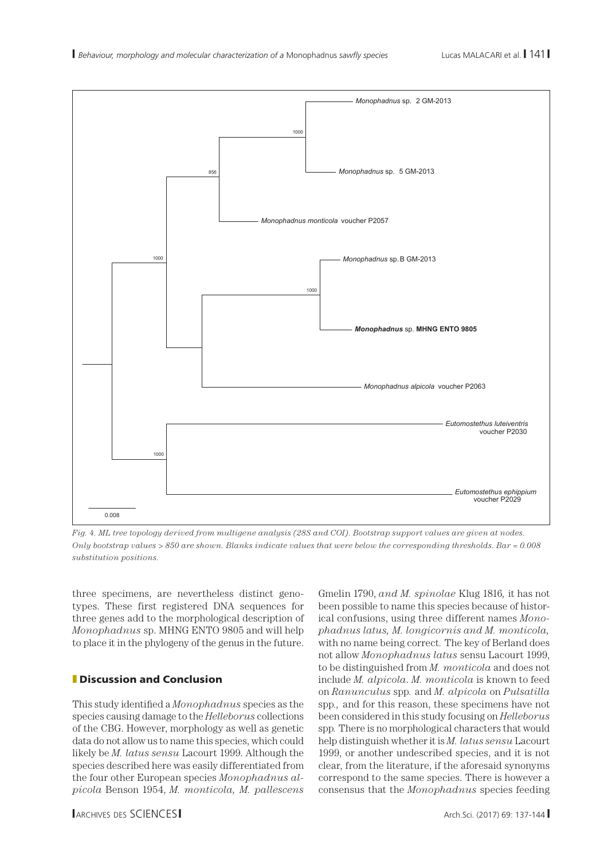

*Fig. 4. ML tree topology derived from multigene analysis (28S and COI). Bootstrap support values are given at nodes. Only bootstrap values > 850 are shown. Blanks indicate values that were below the corresponding thresholds. Bar = 0.008 substitution positions.* 

three specimens, are nevertheless distinct genotypes. These first registered DNA sequences for three genes add to the morphological description of *Monophadnus* sp. MHNG ENTO 9805 and will help to place it in the phylogeny of the genus in the future.

## **Discussion and Conclusion**

This study identified a *Monophadnus* species as the species causing damage to the *Helleborus* collections of the CBG. However, morphology as well as genetic data do not allow us to name this species, which could likely be *M. latus sensu* Lacourt 1999. Although the species described here was easily differentiated from the four other European species *Monophadnus alpicola* Benson 1954, *M. monticola, M. pallescens*  Gmelin 1790, *and M. spinolae* Klug 1816*,* it has not been possible to name this species because of historical confusions, using three different names *Monophadnus latus, M. longicornis and M. monticola,*  with no name being correct*.* The key of Berland does not allow *Monophadnus latus* sensu Lacourt 1999, to be distinguished from *M. monticola* and does not include *M. alpicola*. *M. monticola* is known to feed on *Ranunculus* spp*.* and *M. alpicola* on *Pulsatilla* spp*.,* and for this reason, these specimens have not been considered in this study focusing on *Helleborus*  spp*.* There is no morphological characters that would help distinguish whether it is *M. latus sensu* Lacourt 1999, or another undescribed species, and it is not clear, from the literature, if the aforesaid synonyms correspond to the same species. There is however a consensus that the *Monophadnus* species feeding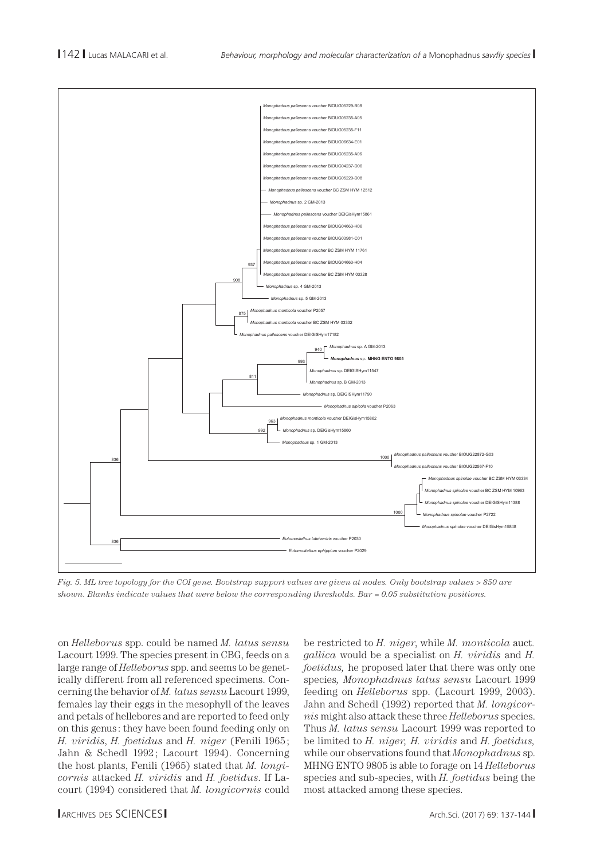

*Fig. 5. ML tree topology for the COI gene. Bootstrap support values are given at nodes. Only bootstrap values > 850 are shown. Blanks indicate values that were below the corresponding thresholds. Bar = 0.05 substitution positions.*

on *Helleborus* spp. could be named *M. latus sensu* Lacourt 1999. The species present in CBG, feeds on a large range of *Helleborus* spp. and seems to be genetically different from all referenced specimens. Concerning the behavior of *M. latus sensu* Lacourt 1999, females lay their eggs in the mesophyll of the leaves and petals of hellebores and are reported to feed only on this genus : they have been found feeding only on *H. viridis*, *H. foetidus* and *H. niger* (Fenili 1965; Jahn & Schedl 1992; Lacourt 1994). Concerning the host plants, Fenili (1965) stated that *M. longicornis* attacked *H. viridis* and *H. foetidus*. If Lacourt (1994) considered that *M. longicornis* could

be restricted to *H. niger*, while *M. monticola* auct*. gallica* would be a specialist on *H. viridis* and *H. foetidus,* he proposed later that there was only one species*, Monophadnus latus sensu* Lacourt 1999 feeding on *Helleborus* spp. (Lacourt 1999, 2003). Jahn and Schedl (1992) reported that *M. longicornis* might also attack these three *Helleborus* species. Thus *M. latus sensu* Lacourt 1999 was reported to be limited to *H. niger, H. viridis* and *H. foetidus,*  while our observations found that *Monophadnus* sp. MHNG ENTO 9805 is able to forage on 14 *Helleborus* species and sub-species, with *H. foetidus* being the most attacked among these species.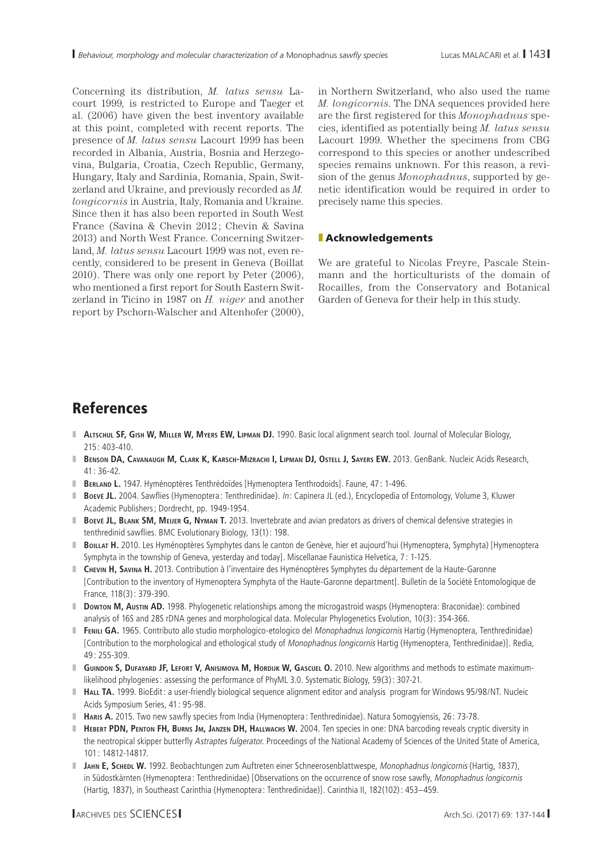Concerning its distribution, *M. latus sensu* Lacourt 1999*,* is restricted to Europe and Taeger et al. (2006) have given the best inventory available at this point, completed with recent reports. The presence of *M. latus sensu* Lacourt 1999 has been recorded in Albania, Austria, Bosnia and Herzegovina, Bulgaria, Croatia, Czech Republic, Germany, Hungary, Italy and Sardinia, Romania, Spain, Switzerland and Ukraine, and previously recorded as *M. longicornis* in Austria, Italy, Romania and Ukraine. Since then it has also been reported in South West France (Savina & Chevin 2012; Chevin & Savina 2013) and North West France. Concerning Switzerland, *M. latus sensu* Lacourt 1999 was not, even recently, considered to be present in Geneva (Boillat 2010). There was only one report by Peter (2006), who mentioned a first report for South Eastern Switzerland in Ticino in 1987 on *H. niger* and another report by Pschorn-Walscher and Altenhofer (2000),

in Northern Switzerland, who also used the name *M. longicornis*. The DNA sequences provided here are the first registered for this *Monophadnus* species, identified as potentially being *M. latus sensu*  Lacourt 1999. Whether the specimens from CBG correspond to this species or another undescribed species remains unknown. For this reason, a revision of the genus *Monophadnus*, supported by genetic identification would be required in order to precisely name this species.

#### **I** Acknowledgements

We are grateful to Nicolas Freyre, Pascale Steinmann and the horticulturists of the domain of Rocailles, from the Conservatory and Botanical Garden of Geneva for their help in this study.

## References

- **ALTSCHUL SF, GISH W, MILLER W, MYERS EW, LIPMAN DJ. 1990. Basic local alignment search tool. Journal of Molecular Biology,**  $215 \cdot 403 - 410$
- z **Benson DA, Cavanaugh M, Clark K, Karsch-Mizrachi I, Lipman DJ, Ostell J, Sayers EW.** 2013. GenBank. Nucleic Acids Research, 41 : 36-42.
- **Berland L.** 1947. Hyménoptères Tenthrédoïdes [Hymenoptera Tenthrodoids]. Faune, 47: 1-496.
- **Boevé JL.** 2004. Sawflies (Hymenoptera: Tenthredinidae). In: Capinera JL (ed.), Encyclopedia of Entomology, Volume 3, Kluwer Academic Publishers; Dordrecht, pp. 1949-1954.
- **Boevé JL, BLANK SM, MEIJER G, NYMAN T. 2013. Invertebrate and avian predators as drivers of chemical defensive strategies in** tenthredinid sawflies. BMC Evolutionary Biology, 13(1): 198.
- **BoILLAT H.** 2010. Les Hyménoptères Symphytes dans le canton de Genève, hier et aujourd'hui (Hymenoptera, Symphyta) [Hymenoptera Symphyta in the township of Geneva, yesterday and today]. Miscellanae Faunistica Helvetica, 7 : 1-125.
- **T** CHEVIN H, SAVINA H. 2013. Contribution à l'inventaire des Hyménoptères Symphytes du département de la Haute-Garonne [Contribution to the inventory of Hymenoptera Symphyta of the Haute-Garonne department]. Bulletin de la Société Entomologique de France, 118(3): 379-390.
- **Dowton M, Austin AD.** 1998. Phylogenetic relationships among the microgastroid wasps (Hymenoptera: Braconidae): combined analysis of 16S and 28S rDNA genes and morphological data. Molecular Phylogenetics Evolution, 10(3): 354-366.
- **FENILI GA.** 1965. Contributo allo studio morphologico-etologico del Monophadnus longicornis Hartig (Hymenoptera, Tenthredinidae) [Contribution to the morphological and ethological study of Monophadnus longicornis Hartig (Hymenoptera, Tenthredinidae)]. Redia, 49 : 255-309.
- **GUINDON S, DUFAYARD JF, LEFORT V, ANISIMOVA M, HORDIJK W, GASCUEL O.** 2010. New algorithms and methods to estimate maximumlikelihood phylogenies: assessing the performance of PhyML 3.0. Systematic Biology, 59(3): 307-21.
- **Hall TA.** 1999. BioEdit: a user-friendly biological sequence alignment editor and analysis program for Windows 95/98/NT. Nucleic Acids Symposium Series, 41 : 95-98.
- **Haris A.** 2015. Two new sawfly species from India (Hymenoptera: Tenthredinidae). Natura Somogyiensis, 26: 73-78.
- **Hebert PDN, Penton FH, Burns Jm, Janzen DH, Hallwachs W. 2004. Ten species in one: DNA barcoding reveals cryptic diversity in** the neotropical skipper butterfly Astraptes fulgerator. Proceedings of the National Academy of Sciences of the United State of America, 101 : 14812-14817.
- **JAHN E, SCHEDL W.** 1992. Beobachtungen zum Auftreten einer Schneerosenblattwespe, Monophadnus longicornis (Hartig, 1837), in Südostkärnten (Hymenoptera: Tenthredinidae) [Observations on the occurrence of snow rose sawfly, Monophadnus longicornis (Hartig, 1837), in Southeast Carinthia (Hymenoptera : Tenthredinidae)]. Carinthia II, 182(102): 453–459.